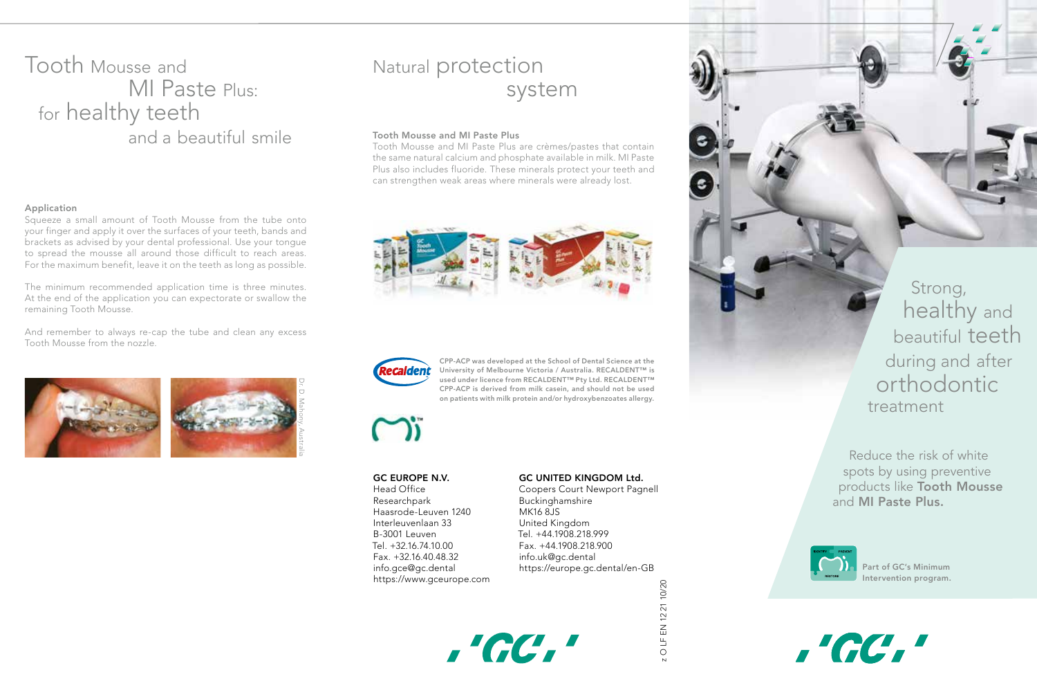## Tooth Mousse and MI Paste Plus: for healthy teeth and a beautiful smile

### Application

Squeeze a small amount of Tooth Mousse from the tube onto your finger and apply it over the surfaces of your teeth, bands and brackets as advised by your dental professional. Use your tongue to spread the mousse all around those difficult to reach areas. For the maximum benefit, leave it on the teeth as long as possible.

The minimum recommended application time is three minutes. At the end of the application you can expectorate or swallow the remaining Tooth Mousse.

And remember to always re-cap the tube and clean any excess Tooth Mousse from the nozzle.



# Natural protection system

### Tooth Mousse and MI Paste Plus

Tooth Mousse and MI Paste Plus are crèmes/pastes that contain the same natural calcium and phosphate available in milk. MI Paste Plus also includes fluoride. These minerals protect your teeth and can strengthen weak areas where minerals were already lost.





CPP-ACP was developed at the School of Dental Science at the University of Melbourne Victoria / Australia. RECALDENT™ is used under licence from RECALDENT™ Pty Ltd. RECALDENT™ CPP-ACP is derived from milk casein, and should not be used on patients with milk protein and/or hydroxybenzoates allergy.



#### GC EUROPE N.V.

Head Office Researchpark Haasrode-Leuven 1240 Interleuvenlaan 33 B-3001 Leuven Tel. +32.16.74.10.00 Fax. +32.16.40.48.32 info.gce@gc.dental https://www.gceurope.com

#### GC UNITED KINGDOM Ltd.

Coopers Court Newport Pagnell Buckinghamshire MK16 8JS United Kingdom Tel. +44.1908.218.999 Fax. +44.1908.218.900 info.uk@gc.dental https://europe.gc.dental/en-GB



O LF EN 12 21 10/20 z O LF EN 12 21 10/20

Strong, healthy and beautiful teeth during and after orthodontic treatment

Reduce the risk of white spots by using preventive products like Tooth Mousse and MI Paste Plus.



,'GC,'